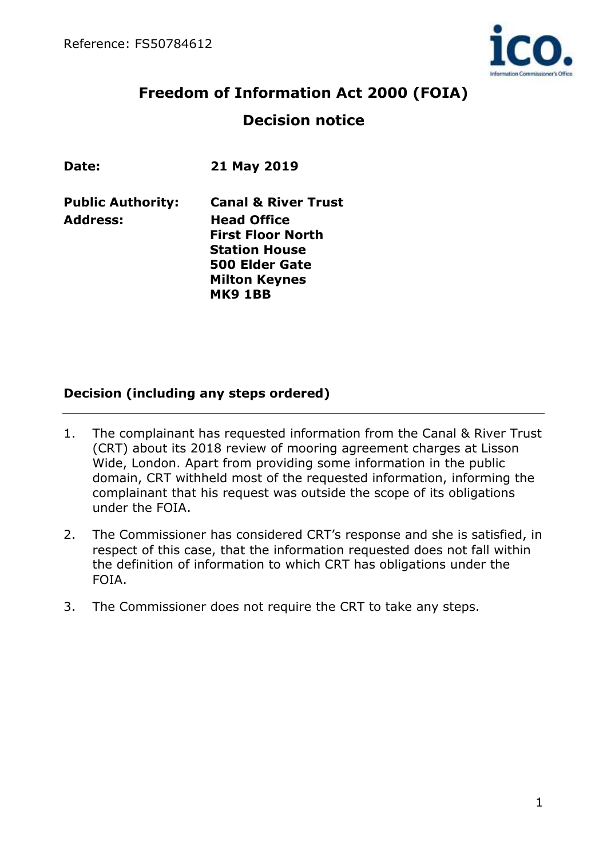

# **Freedom of Information Act 2000 (FOIA) Decision notice**

| Date:                    | 21 May 2019                                                                                                                        |
|--------------------------|------------------------------------------------------------------------------------------------------------------------------------|
| <b>Public Authority:</b> | <b>Canal &amp; River Trust</b>                                                                                                     |
| <b>Address:</b>          | <b>Head Office</b><br><b>First Floor North</b><br><b>Station House</b><br>500 Elder Gate<br><b>Milton Keynes</b><br><b>MK9 1BB</b> |

## **Decision (including any steps ordered)**

- 1. The complainant has requested information from the Canal & River Trust (CRT) about its 2018 review of mooring agreement charges at Lisson Wide, London. Apart from providing some information in the public domain, CRT withheld most of the requested information, informing the complainant that his request was outside the scope of its obligations under the FOIA.
- 2. The Commissioner has considered CRT's response and she is satisfied, in respect of this case, that the information requested does not fall within the definition of information to which CRT has obligations under the FOIA.
- 3. The Commissioner does not require the CRT to take any steps.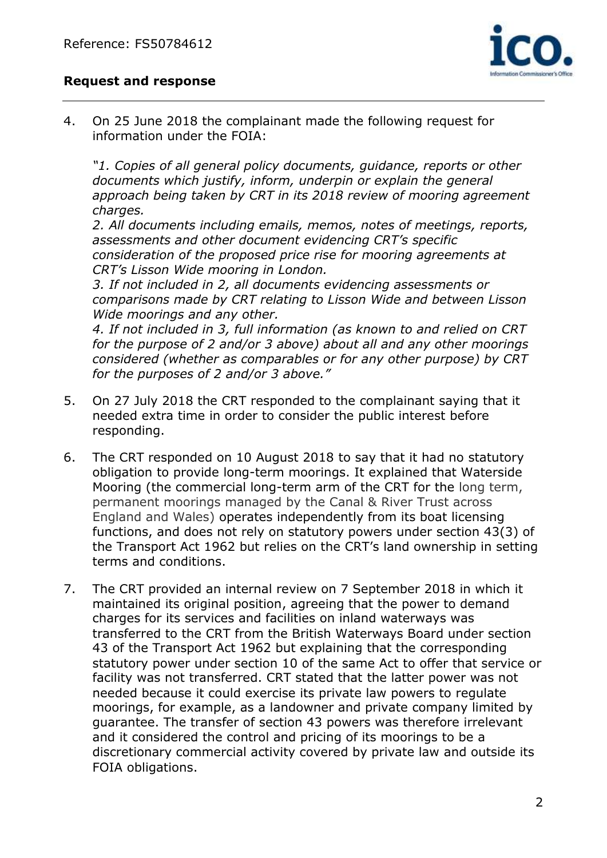

#### **Request and response**

4. On 25 June 2018 the complainant made the following request for information under the FOIA:

*"1. Copies of all general policy documents, guidance, reports or other documents which justify, inform, underpin or explain the general approach being taken by CRT in its 2018 review of mooring agreement charges.*

*2. All documents including emails, memos, notes of meetings, reports, assessments and other document evidencing CRT's specific consideration of the proposed price rise for mooring agreements at CRT's Lisson Wide mooring in London.*

*3. If not included in 2, all documents evidencing assessments or comparisons made by CRT relating to Lisson Wide and between Lisson Wide moorings and any other.*

*4. If not included in 3, full information (as known to and relied on CRT for the purpose of 2 and/or 3 above) about all and any other moorings considered (whether as comparables or for any other purpose) by CRT for the purposes of 2 and/or 3 above."*

- 5. On 27 July 2018 the CRT responded to the complainant saying that it needed extra time in order to consider the public interest before responding.
- 6. The CRT responded on 10 August 2018 to say that it had no statutory obligation to provide long-term moorings. It explained that Waterside Mooring (the commercial long-term arm of the CRT for the long term, permanent moorings managed by the Canal & River Trust across England and Wales) operates independently from its boat licensing functions, and does not rely on statutory powers under section 43(3) of the Transport Act 1962 but relies on the CRT's land ownership in setting terms and conditions.
- 7. The CRT provided an internal review on 7 September 2018 in which it maintained its original position, agreeing that the power to demand charges for its services and facilities on inland waterways was transferred to the CRT from the British Waterways Board under section 43 of the Transport Act 1962 but explaining that the corresponding statutory power under section 10 of the same Act to offer that service or facility was not transferred. CRT stated that the latter power was not needed because it could exercise its private law powers to regulate moorings, for example, as a landowner and private company limited by guarantee. The transfer of section 43 powers was therefore irrelevant and it considered the control and pricing of its moorings to be a discretionary commercial activity covered by private law and outside its FOIA obligations.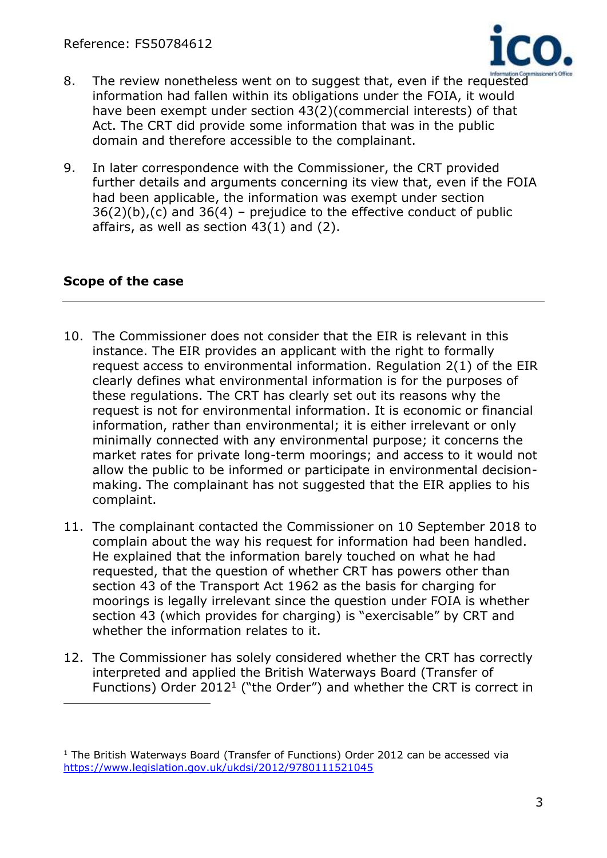

- 8. The review nonetheless went on to suggest that, even if the requested information had fallen within its obligations under the FOIA, it would have been exempt under section 43(2)(commercial interests) of that Act. The CRT did provide some information that was in the public domain and therefore accessible to the complainant.
- 9. In later correspondence with the Commissioner, the CRT provided further details and arguments concerning its view that, even if the FOIA had been applicable, the information was exempt under section  $36(2)(b)$ , (c) and  $36(4)$  – prejudice to the effective conduct of public affairs, as well as section 43(1) and (2).

## **Scope of the case**

 $\overline{a}$ 

- 10. The Commissioner does not consider that the EIR is relevant in this instance. The EIR provides an applicant with the right to formally request access to environmental information. Regulation 2(1) of the EIR clearly defines what environmental information is for the purposes of these regulations. The CRT has clearly set out its reasons why the request is not for environmental information. It is economic or financial information, rather than environmental; it is either irrelevant or only minimally connected with any environmental purpose; it concerns the market rates for private long-term moorings; and access to it would not allow the public to be informed or participate in environmental decisionmaking. The complainant has not suggested that the EIR applies to his complaint.
- 11. The complainant contacted the Commissioner on 10 September 2018 to complain about the way his request for information had been handled. He explained that the information barely touched on what he had requested, that the question of whether CRT has powers other than section 43 of the Transport Act 1962 as the basis for charging for moorings is legally irrelevant since the question under FOIA is whether section 43 (which provides for charging) is "exercisable" by CRT and whether the information relates to it.
- 12. The Commissioner has solely considered whether the CRT has correctly interpreted and applied the British Waterways Board (Transfer of Functions) Order 2012<sup>1</sup> ("the Order") and whether the CRT is correct in

<sup>1</sup> The British Waterways Board (Transfer of Functions) Order 2012 can be accessed via <https://www.legislation.gov.uk/ukdsi/2012/9780111521045>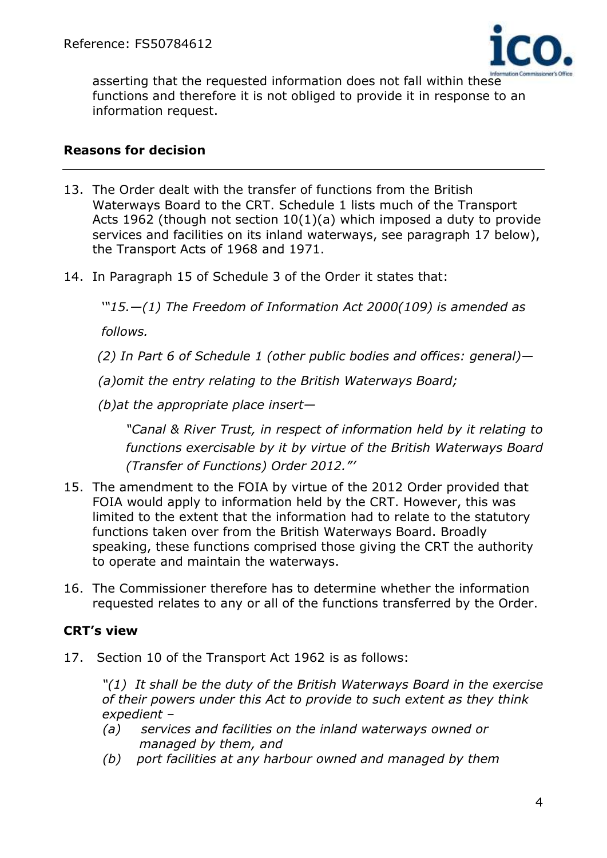

asserting that the requested information does not fall within these functions and therefore it is not obliged to provide it in response to an information request.

#### **Reasons for decision**

- 13. The Order dealt with the transfer of functions from the British Waterways Board to the CRT. Schedule 1 lists much of the Transport Acts 1962 (though not section 10(1)(a) which imposed a duty to provide services and facilities on its inland waterways, see paragraph 17 below), the Transport Acts of 1968 and 1971.
- 14. In Paragraph 15 of Schedule 3 of the Order it states that:

 *'"15.—(1) The Freedom of Information Act 2000[\(109\)](https://www.legislation.gov.uk/ukdsi/2012/9780111521045#f00109) is amended as* 

 *follows.* 

 *(2) In Part 6 of Schedule 1 (other public bodies and offices: general)—*

 *(a)omit the entry relating to the British Waterways Board;*

 *(b)at the appropriate place insert—*

*"Canal & River Trust, in respect of information held by it relating to functions exercisable by it by virtue of the British Waterways Board (Transfer of Functions) Order 2012."'*

- 15. The amendment to the FOIA by virtue of the 2012 Order provided that FOIA would apply to information held by the CRT. However, this was limited to the extent that the information had to relate to the statutory functions taken over from the British Waterways Board. Broadly speaking, these functions comprised those giving the CRT the authority to operate and maintain the waterways.
- 16. The Commissioner therefore has to determine whether the information requested relates to any or all of the functions transferred by the Order.

## **CRT's view**

17. Section 10 of the Transport Act 1962 is as follows:

 *"(1) It shall be the duty of the British Waterways Board in the exercise of their powers under this Act to provide to such extent as they think expedient –*

- *(a) services and facilities on the inland waterways owned or managed by them, and*
- *(b) port facilities at any harbour owned and managed by them*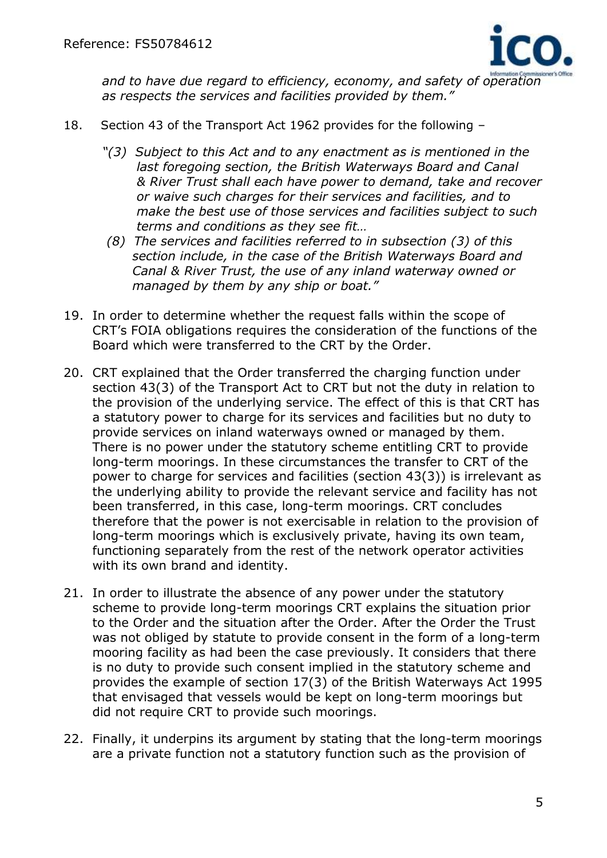

 *and to have due regard to efficiency, economy, and safety of operation as respects the services and facilities provided by them."*

- 18. Section 43 of the Transport Act 1962 provides for the following
	- *"(3) Subject to this Act and to any enactment as is mentioned in the last foregoing section, the British Waterways Board and Canal & River Trust shall each have power to demand, take and recover or waive such charges for their services and facilities, and to make the best use of those services and facilities subject to such terms and conditions as they see fit…*
	- *(8) The services and facilities referred to in subsection (3) of this section include, in the case of the British Waterways Board and Canal & River Trust, the use of any inland waterway owned or managed by them by any ship or boat."*
- 19. In order to determine whether the request falls within the scope of CRT's FOIA obligations requires the consideration of the functions of the Board which were transferred to the CRT by the Order.
- 20. CRT explained that the Order transferred the charging function under section 43(3) of the Transport Act to CRT but not the duty in relation to the provision of the underlying service. The effect of this is that CRT has a statutory power to charge for its services and facilities but no duty to provide services on inland waterways owned or managed by them. There is no power under the statutory scheme entitling CRT to provide long-term moorings. In these circumstances the transfer to CRT of the power to charge for services and facilities (section 43(3)) is irrelevant as the underlying ability to provide the relevant service and facility has not been transferred, in this case, long-term moorings. CRT concludes therefore that the power is not exercisable in relation to the provision of long-term moorings which is exclusively private, having its own team, functioning separately from the rest of the network operator activities with its own brand and identity.
- 21. In order to illustrate the absence of any power under the statutory scheme to provide long-term moorings CRT explains the situation prior to the Order and the situation after the Order. After the Order the Trust was not obliged by statute to provide consent in the form of a long-term mooring facility as had been the case previously. It considers that there is no duty to provide such consent implied in the statutory scheme and provides the example of section 17(3) of the British Waterways Act 1995 that envisaged that vessels would be kept on long-term moorings but did not require CRT to provide such moorings.
- 22. Finally, it underpins its argument by stating that the long-term moorings are a private function not a statutory function such as the provision of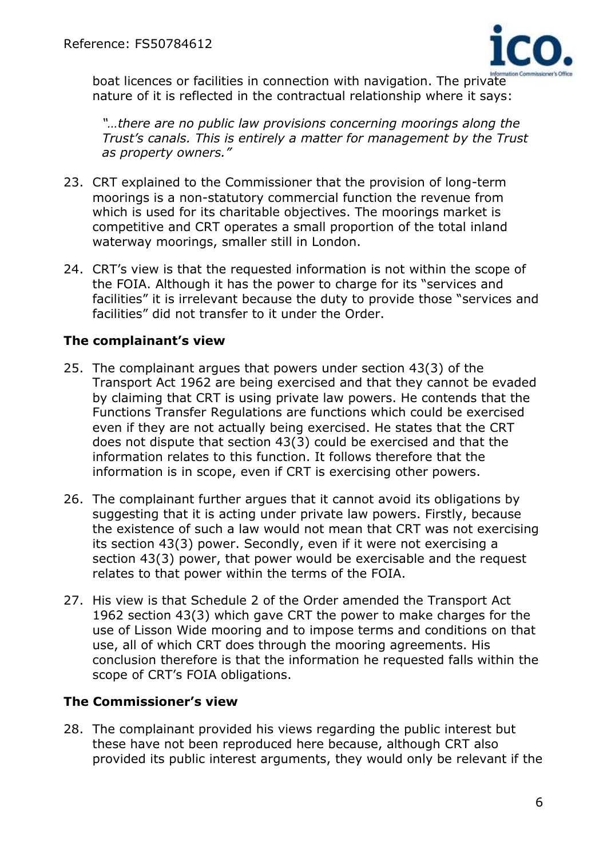

boat licences or facilities in connection with navigation. The private nature of it is reflected in the contractual relationship where it says:

 *"…there are no public law provisions concerning moorings along the Trust's canals. This is entirely a matter for management by the Trust as property owners."*

- 23. CRT explained to the Commissioner that the provision of long-term moorings is a non-statutory commercial function the revenue from which is used for its charitable objectives. The moorings market is competitive and CRT operates a small proportion of the total inland waterway moorings, smaller still in London.
- 24. CRT's view is that the requested information is not within the scope of the FOIA. Although it has the power to charge for its "services and facilities" it is irrelevant because the duty to provide those "services and facilities" did not transfer to it under the Order.

## **The complainant's view**

- 25. The complainant argues that powers under section 43(3) of the Transport Act 1962 are being exercised and that they cannot be evaded by claiming that CRT is using private law powers. He contends that the Functions Transfer Regulations are functions which could be exercised even if they are not actually being exercised. He states that the CRT does not dispute that section 43(3) could be exercised and that the information relates to this function. It follows therefore that the information is in scope, even if CRT is exercising other powers.
- 26. The complainant further argues that it cannot avoid its obligations by suggesting that it is acting under private law powers. Firstly, because the existence of such a law would not mean that CRT was not exercising its section 43(3) power. Secondly, even if it were not exercising a section 43(3) power, that power would be exercisable and the request relates to that power within the terms of the FOIA.
- 27. His view is that Schedule 2 of the Order amended the Transport Act 1962 section 43(3) which gave CRT the power to make charges for the use of Lisson Wide mooring and to impose terms and conditions on that use, all of which CRT does through the mooring agreements. His conclusion therefore is that the information he requested falls within the scope of CRT's FOIA obligations.

## **The Commissioner's view**

28. The complainant provided his views regarding the public interest but these have not been reproduced here because, although CRT also provided its public interest arguments, they would only be relevant if the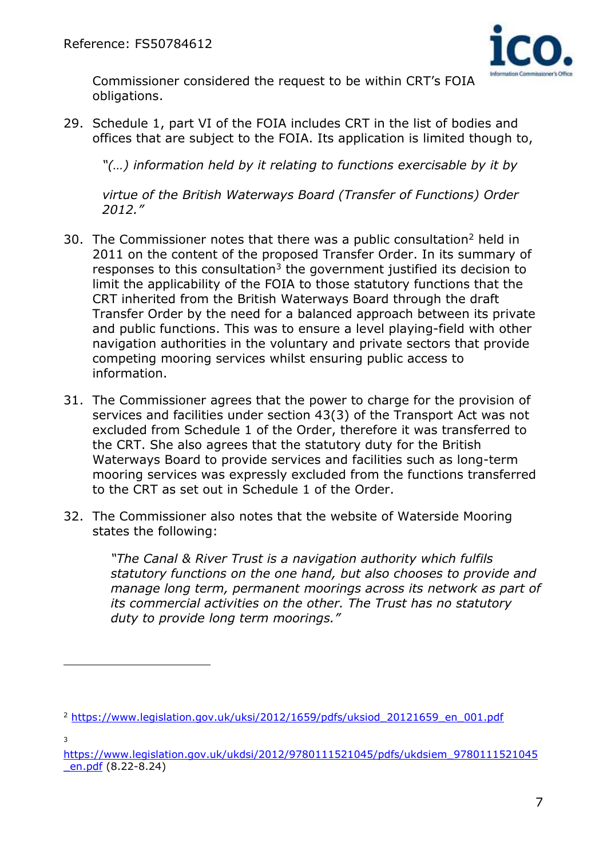

Commissioner considered the request to be within CRT's FOIA obligations.

29. Schedule 1, part VI of the FOIA includes CRT in the list of bodies and offices that are subject to the FOIA. Its application is limited though to,

*"(…) information held by it relating to functions exercisable by it by* 

 *virtue of the British Waterways Board (Transfer of Functions) Order 2012."*

- 30. The Commissioner notes that there was a public consultation<sup>2</sup> held in 2011 on the content of the proposed Transfer Order. In its summary of responses to this consultation $3$  the government justified its decision to limit the applicability of the FOIA to those statutory functions that the CRT inherited from the British Waterways Board through the draft Transfer Order by the need for a balanced approach between its private and public functions. This was to ensure a level playing-field with other navigation authorities in the voluntary and private sectors that provide competing mooring services whilst ensuring public access to information.
- 31. The Commissioner agrees that the power to charge for the provision of services and facilities under section 43(3) of the Transport Act was not excluded from Schedule 1 of the Order, therefore it was transferred to the CRT. She also agrees that the statutory duty for the British Waterways Board to provide services and facilities such as long-term mooring services was expressly excluded from the functions transferred to the CRT as set out in Schedule 1 of the Order.
- 32. The Commissioner also notes that the website of Waterside Mooring states the following:

 *"The Canal & River Trust is a navigation authority which fulfils statutory functions on the one hand, but also chooses to provide and manage long term, permanent moorings across its network as part of its commercial activities on the other. The Trust has no statutory duty to provide long term moorings."*

3

 $\overline{a}$ 

<sup>2</sup> [https://www.legislation.gov.uk/uksi/2012/1659/pdfs/uksiod\\_20121659\\_en\\_001.pdf](https://www.legislation.gov.uk/uksi/2012/1659/pdfs/uksiod_20121659_en_001.pdf)

[https://www.legislation.gov.uk/ukdsi/2012/9780111521045/pdfs/ukdsiem\\_9780111521045](https://www.legislation.gov.uk/ukdsi/2012/9780111521045/pdfs/ukdsiem_9780111521045_en.pdf) [\\_en.pdf](https://www.legislation.gov.uk/ukdsi/2012/9780111521045/pdfs/ukdsiem_9780111521045_en.pdf) (8.22-8.24)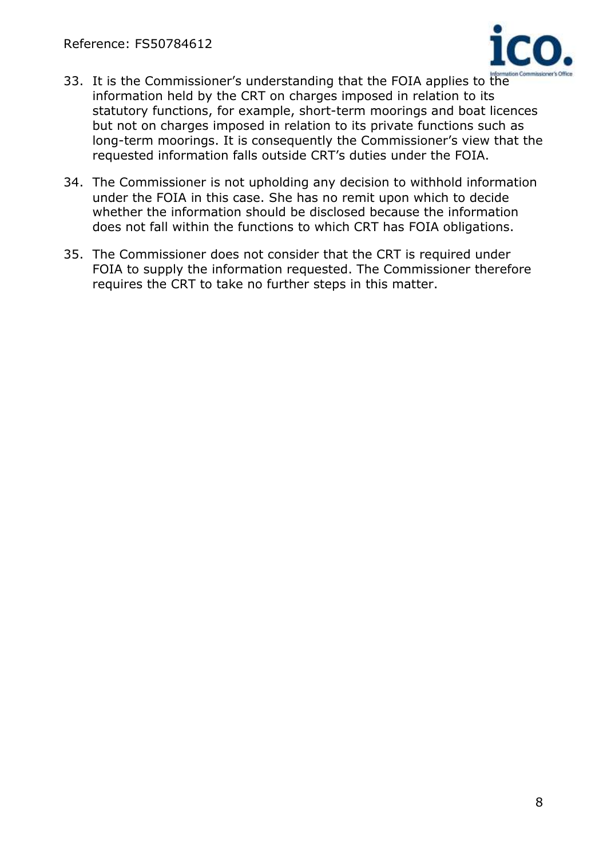

- 33. It is the Commissioner's understanding that the FOIA applies to the information held by the CRT on charges imposed in relation to its statutory functions, for example, short-term moorings and boat licences but not on charges imposed in relation to its private functions such as long-term moorings. It is consequently the Commissioner's view that the requested information falls outside CRT's duties under the FOIA.
- 34. The Commissioner is not upholding any decision to withhold information under the FOIA in this case. She has no remit upon which to decide whether the information should be disclosed because the information does not fall within the functions to which CRT has FOIA obligations.
- 35. The Commissioner does not consider that the CRT is required under FOIA to supply the information requested. The Commissioner therefore requires the CRT to take no further steps in this matter.